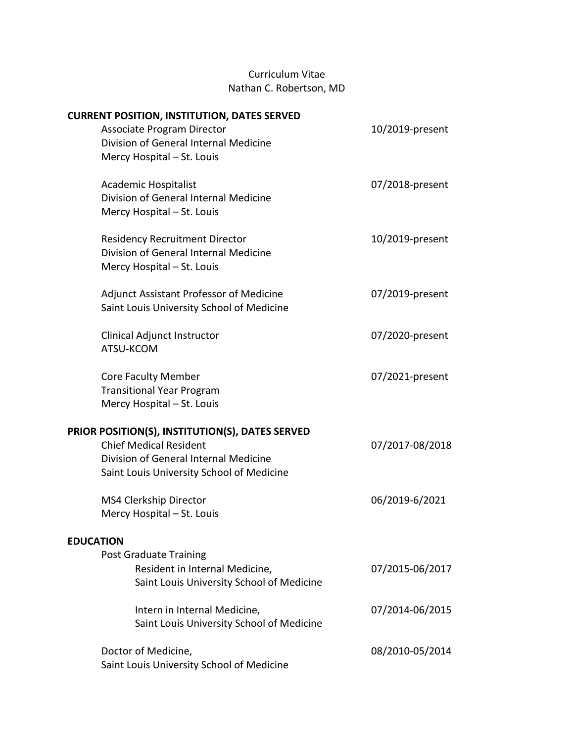# Curriculum Vitae Nathan C. Robertson, MD

| <b>CURRENT POSITION, INSTITUTION, DATES SERVED</b> |                 |
|----------------------------------------------------|-----------------|
| <b>Associate Program Director</b>                  | 10/2019-present |
| Division of General Internal Medicine              |                 |
| Mercy Hospital - St. Louis                         |                 |
| Academic Hospitalist                               | 07/2018-present |
| Division of General Internal Medicine              |                 |
| Mercy Hospital - St. Louis                         |                 |
|                                                    |                 |
| <b>Residency Recruitment Director</b>              | 10/2019-present |
| Division of General Internal Medicine              |                 |
| Mercy Hospital - St. Louis                         |                 |
|                                                    |                 |
| <b>Adjunct Assistant Professor of Medicine</b>     | 07/2019-present |
| Saint Louis University School of Medicine          |                 |
| Clinical Adjunct Instructor                        | 07/2020-present |
| ATSU-KCOM                                          |                 |
|                                                    |                 |
| <b>Core Faculty Member</b>                         | 07/2021-present |
| <b>Transitional Year Program</b>                   |                 |
| Mercy Hospital - St. Louis                         |                 |
| PRIOR POSITION(S), INSTITUTION(S), DATES SERVED    |                 |
| <b>Chief Medical Resident</b>                      | 07/2017-08/2018 |
| Division of General Internal Medicine              |                 |
| Saint Louis University School of Medicine          |                 |
|                                                    |                 |
| MS4 Clerkship Director                             | 06/2019-6/2021  |
| Mercy Hospital - St. Louis                         |                 |
| <b>EDUCATION</b>                                   |                 |
| <b>Post Graduate Training</b>                      |                 |
| Resident in Internal Medicine,                     | 07/2015-06/2017 |
| Saint Louis University School of Medicine          |                 |
|                                                    |                 |
| Intern in Internal Medicine,                       | 07/2014-06/2015 |
| Saint Louis University School of Medicine          |                 |
| Doctor of Medicine,                                | 08/2010-05/2014 |
| Saint Louis University School of Medicine          |                 |
|                                                    |                 |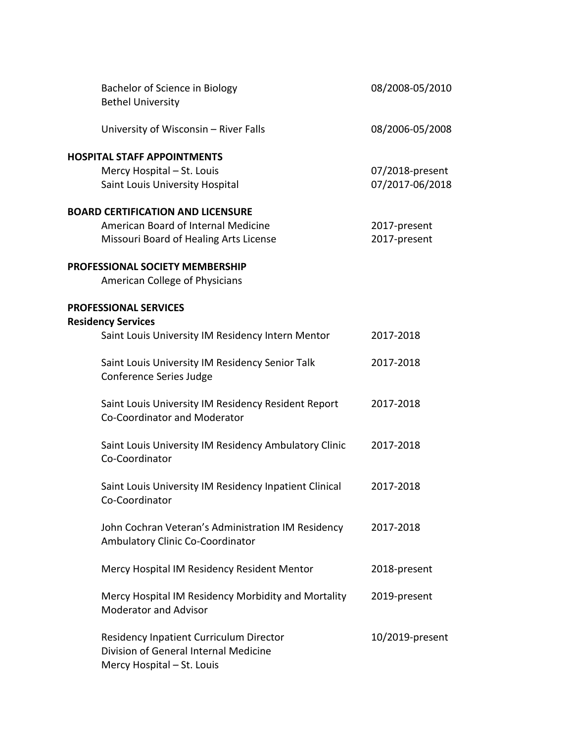| Bachelor of Science in Biology<br><b>Bethel University</b>                                                            | 08/2008-05/2010              |
|-----------------------------------------------------------------------------------------------------------------------|------------------------------|
| University of Wisconsin - River Falls                                                                                 | 08/2006-05/2008              |
| <b>HOSPITAL STAFF APPOINTMENTS</b><br>Mercy Hospital - St. Louis                                                      | 07/2018-present              |
| Saint Louis University Hospital                                                                                       | 07/2017-06/2018              |
| <b>BOARD CERTIFICATION AND LICENSURE</b>                                                                              |                              |
| American Board of Internal Medicine<br>Missouri Board of Healing Arts License                                         | 2017-present<br>2017-present |
| PROFESSIONAL SOCIETY MEMBERSHIP<br>American College of Physicians                                                     |                              |
| <b>PROFESSIONAL SERVICES</b>                                                                                          |                              |
| <b>Residency Services</b><br>Saint Louis University IM Residency Intern Mentor                                        | 2017-2018                    |
| Saint Louis University IM Residency Senior Talk<br>Conference Series Judge                                            | 2017-2018                    |
| Saint Louis University IM Residency Resident Report<br>Co-Coordinator and Moderator                                   | 2017-2018                    |
| Saint Louis University IM Residency Ambulatory Clinic<br>Co-Coordinator                                               | 2017-2018                    |
| Saint Louis University IM Residency Inpatient Clinical<br>Co-Coordinator                                              | 2017-2018                    |
| John Cochran Veteran's Administration IM Residency<br>Ambulatory Clinic Co-Coordinator                                | 2017-2018                    |
| Mercy Hospital IM Residency Resident Mentor                                                                           | 2018-present                 |
| Mercy Hospital IM Residency Morbidity and Mortality<br><b>Moderator and Advisor</b>                                   | 2019-present                 |
| <b>Residency Inpatient Curriculum Director</b><br>Division of General Internal Medicine<br>Mercy Hospital - St. Louis | 10/2019-present              |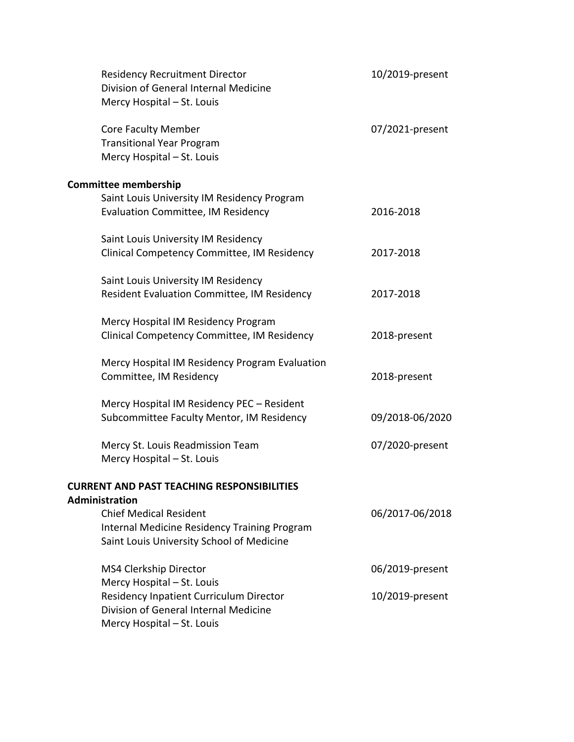| <b>Residency Recruitment Director</b><br>Division of General Internal Medicine<br>Mercy Hospital - St. Louis               | 10/2019-present |
|----------------------------------------------------------------------------------------------------------------------------|-----------------|
| <b>Core Faculty Member</b><br><b>Transitional Year Program</b><br>Mercy Hospital - St. Louis                               | 07/2021-present |
| <b>Committee membership</b>                                                                                                |                 |
| Saint Louis University IM Residency Program<br><b>Evaluation Committee, IM Residency</b>                                   | 2016-2018       |
| Saint Louis University IM Residency<br>Clinical Competency Committee, IM Residency                                         | 2017-2018       |
| Saint Louis University IM Residency<br>Resident Evaluation Committee, IM Residency                                         | 2017-2018       |
| Mercy Hospital IM Residency Program<br>Clinical Competency Committee, IM Residency                                         | 2018-present    |
| Mercy Hospital IM Residency Program Evaluation<br>Committee, IM Residency                                                  | 2018-present    |
| Mercy Hospital IM Residency PEC - Resident<br>Subcommittee Faculty Mentor, IM Residency                                    | 09/2018-06/2020 |
| Mercy St. Louis Readmission Team<br>Mercy Hospital - St. Louis                                                             | 07/2020-present |
| <b>CURRENT AND PAST TEACHING RESPONSIBILITIES</b><br><b>Administration</b>                                                 |                 |
| <b>Chief Medical Resident</b><br>Internal Medicine Residency Training Program<br>Saint Louis University School of Medicine | 06/2017-06/2018 |
| MS4 Clerkship Director<br>Mercy Hospital - St. Louis                                                                       | 06/2019-present |
| <b>Residency Inpatient Curriculum Director</b><br>Division of General Internal Medicine<br>Mercy Hospital - St. Louis      | 10/2019-present |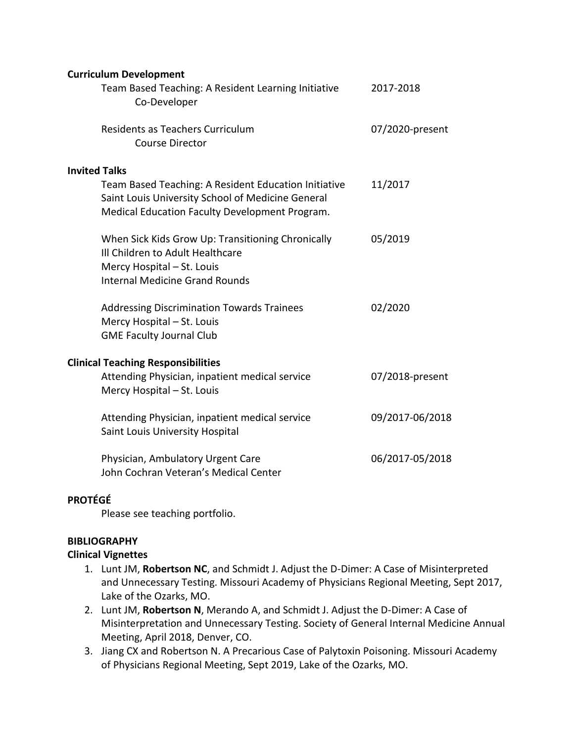| <b>Curriculum Development</b>                                                                                                                                |                 |
|--------------------------------------------------------------------------------------------------------------------------------------------------------------|-----------------|
| Team Based Teaching: A Resident Learning Initiative<br>Co-Developer                                                                                          | 2017-2018       |
| Residents as Teachers Curriculum<br><b>Course Director</b>                                                                                                   | 07/2020-present |
| <b>Invited Talks</b>                                                                                                                                         |                 |
| Team Based Teaching: A Resident Education Initiative<br>Saint Louis University School of Medicine General<br>Medical Education Faculty Development Program.  | 11/2017         |
| When Sick Kids Grow Up: Transitioning Chronically<br>Ill Children to Adult Healthcare<br>Mercy Hospital - St. Louis<br><b>Internal Medicine Grand Rounds</b> | 05/2019         |
| <b>Addressing Discrimination Towards Trainees</b><br>Mercy Hospital - St. Louis<br><b>GME Faculty Journal Club</b>                                           | 02/2020         |
| <b>Clinical Teaching Responsibilities</b>                                                                                                                    |                 |
| Attending Physician, inpatient medical service<br>Mercy Hospital - St. Louis                                                                                 | 07/2018-present |
| Attending Physician, inpatient medical service<br>Saint Louis University Hospital                                                                            | 09/2017-06/2018 |
| Physician, Ambulatory Urgent Care<br>John Cochran Veteran's Medical Center                                                                                   | 06/2017-05/2018 |

#### **PROTÉGÉ**

Please see teaching portfolio.

### **BIBLIOGRAPHY**

#### **Clinical Vignettes**

- 1. Lunt JM, **Robertson NC**, and Schmidt J. Adjust the D-Dimer: A Case of Misinterpreted and Unnecessary Testing. Missouri Academy of Physicians Regional Meeting, Sept 2017, Lake of the Ozarks, MO.
- 2. Lunt JM, **Robertson N**, Merando A, and Schmidt J. Adjust the D-Dimer: A Case of Misinterpretation and Unnecessary Testing. Society of General Internal Medicine Annual Meeting, April 2018, Denver, CO.
- 3. Jiang CX and Robertson N. A Precarious Case of Palytoxin Poisoning. Missouri Academy of Physicians Regional Meeting, Sept 2019, Lake of the Ozarks, MO.